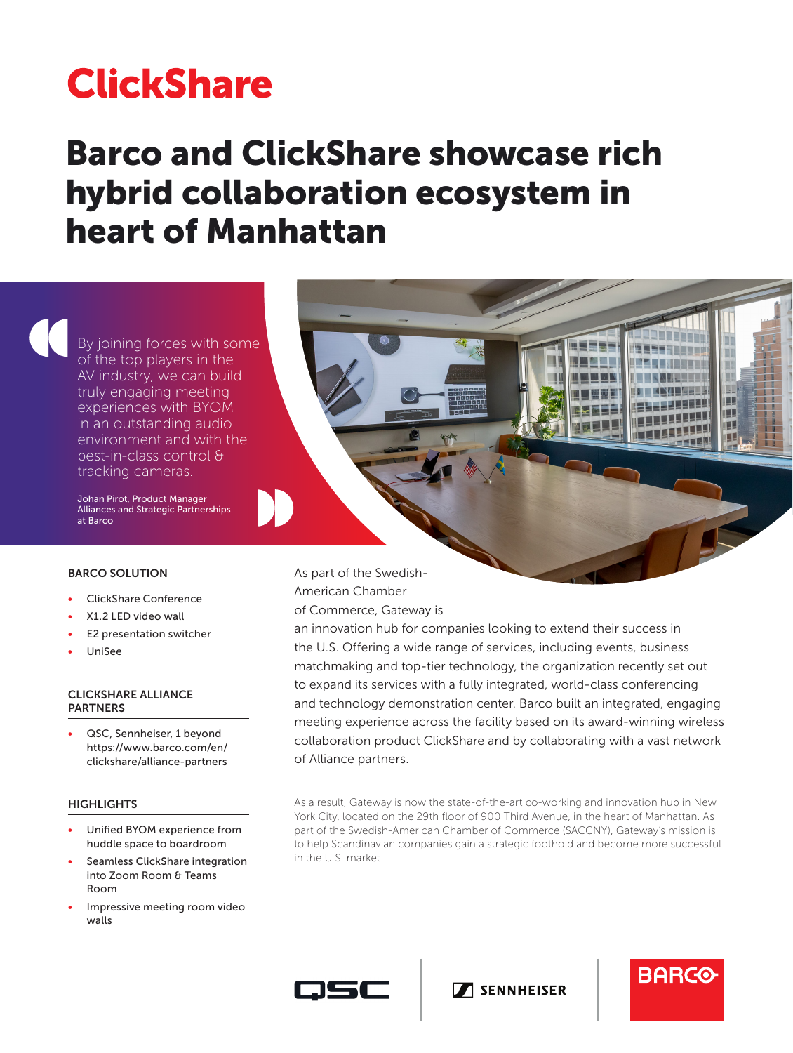# **ClickShare**

## Barco and ClickShare showcase rich hybrid collaboration ecosystem in heart of Manhattan

By joining forces with some of the top players in the AV industry, we can build truly engaging meeting experiences with BYOM in an outstanding audio environment and with the best-in-class control & tracking cameras.

Johan Pirot, Product Manager Alliances and Strategic Partnerships at Barco

#### BARCO SOLUTION

- ClickShare Conference
- X1.2 LED video wall
- E2 presentation switcher
- UniSee

#### CLICKSHARE ALLIANCE PARTNERS

• QSC, Sennheiser, 1 beyond https://www.barco.com/en/ clickshare/alliance-partners

#### **HIGHLIGHTS**

- Unified BYOM experience from huddle space to boardroom
- Seamless ClickShare integration into Zoom Room & Teams Room
- Impressive meeting room video walls

As part of the Swedish-

American Chamber

of Commerce, Gateway is

an innovation hub for companies looking to extend their success in the U.S. Offering a wide range of services, including events, business matchmaking and top-tier technology, the organization recently set out to expand its services with a fully integrated, world-class conferencing and technology demonstration center. Barco built an integrated, engaging meeting experience across the facility based on its award-winning wireless collaboration product ClickShare and by collaborating with a vast network of Alliance partners.

As a result, Gateway is now the state-of-the-art co-working and innovation hub in New York City, located on the 29th floor of 900 Third Avenue, in the heart of Manhattan. As part of the Swedish-American Chamber of Commerce (SACCNY), Gateway's mission is to help Scandinavian companies gain a strategic foothold and become more successful in the U.S. market.